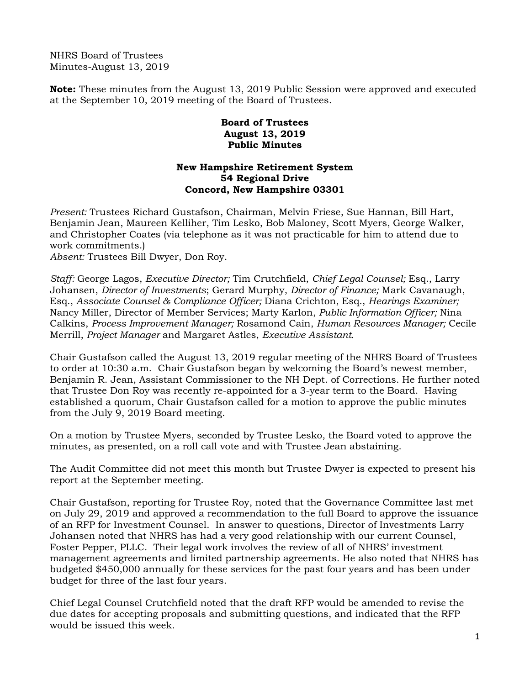NHRS Board of Trustees Minutes-August 13, 2019

**Note:** These minutes from the August 13, 2019 Public Session were approved and executed at the September 10, 2019 meeting of the Board of Trustees.

## **Board of Trustees August 13, 2019 Public Minutes**

## **New Hampshire Retirement System 54 Regional Drive Concord, New Hampshire 03301**

*Present:* Trustees Richard Gustafson, Chairman, Melvin Friese, Sue Hannan, Bill Hart, Benjamin Jean, Maureen Kelliher, Tim Lesko, Bob Maloney, Scott Myers, George Walker, and Christopher Coates (via telephone as it was not practicable for him to attend due to work commitments.)

*Absent:* Trustees Bill Dwyer, Don Roy.

*Staff:* George Lagos, *Executive Director;* Tim Crutchfield, *Chief Legal Counsel;* Esq., Larry Johansen, *Director of Investments*; Gerard Murphy, *Director of Finance;* Mark Cavanaugh, Esq., *Associate Counsel & Compliance Officer;* Diana Crichton, Esq., *Hearings Examiner;* Nancy Miller, Director of Member Services; Marty Karlon, *Public Information Officer;* Nina Calkins, *Process Improvement Manager;* Rosamond Cain, *Human Resources Manager;* Cecile Merrill, *Project Manager* and Margaret Astles, *Executive Assistant.* 

Chair Gustafson called the August 13, 2019 regular meeting of the NHRS Board of Trustees to order at 10:30 a.m. Chair Gustafson began by welcoming the Board's newest member, Benjamin R. Jean, Assistant Commissioner to the NH Dept. of Corrections. He further noted that Trustee Don Roy was recently re-appointed for a 3-year term to the Board. Having established a quorum, Chair Gustafson called for a motion to approve the public minutes from the July 9, 2019 Board meeting.

On a motion by Trustee Myers, seconded by Trustee Lesko, the Board voted to approve the minutes, as presented, on a roll call vote and with Trustee Jean abstaining.

The Audit Committee did not meet this month but Trustee Dwyer is expected to present his report at the September meeting.

Chair Gustafson, reporting for Trustee Roy, noted that the Governance Committee last met on July 29, 2019 and approved a recommendation to the full Board to approve the issuance of an RFP for Investment Counsel. In answer to questions, Director of Investments Larry Johansen noted that NHRS has had a very good relationship with our current Counsel, Foster Pepper, PLLC. Their legal work involves the review of all of NHRS' investment management agreements and limited partnership agreements. He also noted that NHRS has budgeted \$450,000 annually for these services for the past four years and has been under budget for three of the last four years.

Chief Legal Counsel Crutchfield noted that the draft RFP would be amended to revise the due dates for accepting proposals and submitting questions, and indicated that the RFP would be issued this week.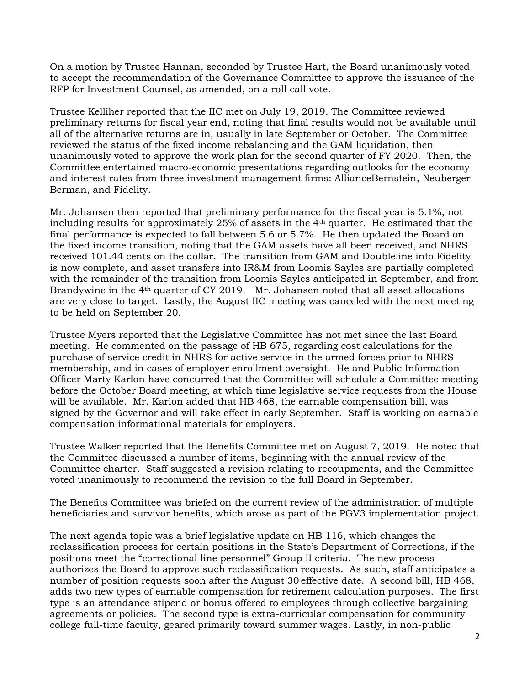On a motion by Trustee Hannan, seconded by Trustee Hart, the Board unanimously voted to accept the recommendation of the Governance Committee to approve the issuance of the RFP for Investment Counsel, as amended, on a roll call vote.

Trustee Kelliher reported that the IIC met on July 19, 2019. The Committee reviewed preliminary returns for fiscal year end, noting that final results would not be available until all of the alternative returns are in, usually in late September or October. The Committee reviewed the status of the fixed income rebalancing and the GAM liquidation, then unanimously voted to approve the work plan for the second quarter of FY 2020. Then, the Committee entertained macro-economic presentations regarding outlooks for the economy and interest rates from three investment management firms: AllianceBernstein, Neuberger Berman, and Fidelity.

Mr. Johansen then reported that preliminary performance for the fiscal year is 5.1%, not including results for approximately 25% of assets in the 4th quarter. He estimated that the final performance is expected to fall between 5.6 or 5.7%. He then updated the Board on the fixed income transition, noting that the GAM assets have all been received, and NHRS received 101.44 cents on the dollar. The transition from GAM and Doubleline into Fidelity is now complete, and asset transfers into IR&M from Loomis Sayles are partially completed with the remainder of the transition from Loomis Sayles anticipated in September, and from Brandywine in the 4th quarter of CY 2019. Mr. Johansen noted that all asset allocations are very close to target. Lastly, the August IIC meeting was canceled with the next meeting to be held on September 20.

Trustee Myers reported that the Legislative Committee has not met since the last Board meeting. He commented on the passage of HB 675, regarding cost calculations for the purchase of service credit in NHRS for active service in the armed forces prior to NHRS membership, and in cases of employer enrollment oversight. He and Public Information Officer Marty Karlon have concurred that the Committee will schedule a Committee meeting before the October Board meeting, at which time legislative service requests from the House will be available. Mr. Karlon added that HB 468, the earnable compensation bill, was signed by the Governor and will take effect in early September. Staff is working on earnable compensation informational materials for employers.

Trustee Walker reported that the Benefits Committee met on August 7, 2019. He noted that the Committee discussed a number of items, beginning with the annual review of the Committee charter. Staff suggested a revision relating to recoupments, and the Committee voted unanimously to recommend the revision to the full Board in September.

The Benefits Committee was briefed on the current review of the administration of multiple beneficiaries and survivor benefits, which arose as part of the PGV3 implementation project.

The next agenda topic was a brief legislative update on HB 116, which changes the reclassification process for certain positions in the State's Department of Corrections, if the positions meet the "correctional line personnel" Group II criteria. The new process authorizes the Board to approve such reclassification requests. As such, staff anticipates a number of position requests soon after the August 30 effective date. A second bill, HB 468, adds two new types of earnable compensation for retirement calculation purposes. The first type is an attendance stipend or bonus offered to employees through collective bargaining agreements or policies. The second type is extra-curricular compensation for community college full-time faculty, geared primarily toward summer wages. Lastly, in non-public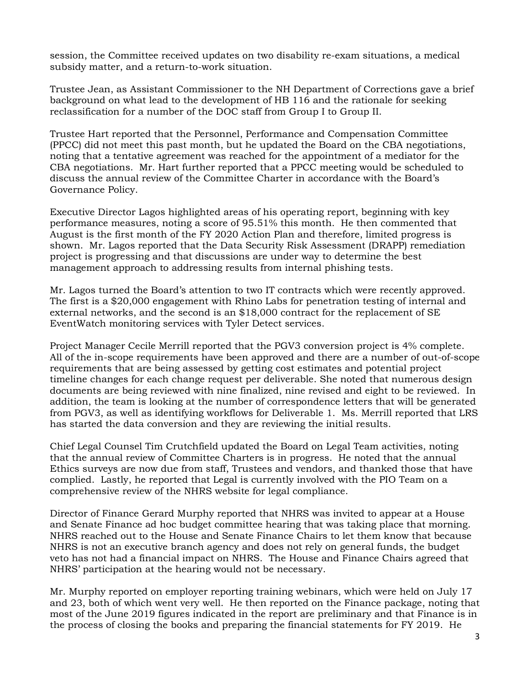session, the Committee received updates on two disability re-exam situations, a medical subsidy matter, and a return-to-work situation.

Trustee Jean, as Assistant Commissioner to the NH Department of Corrections gave a brief background on what lead to the development of HB 116 and the rationale for seeking reclassification for a number of the DOC staff from Group I to Group II.

Trustee Hart reported that the Personnel, Performance and Compensation Committee (PPCC) did not meet this past month, but he updated the Board on the CBA negotiations, noting that a tentative agreement was reached for the appointment of a mediator for the CBA negotiations. Mr. Hart further reported that a PPCC meeting would be scheduled to discuss the annual review of the Committee Charter in accordance with the Board's Governance Policy.

Executive Director Lagos highlighted areas of his operating report, beginning with key performance measures, noting a score of 95.51% this month. He then commented that August is the first month of the FY 2020 Action Plan and therefore, limited progress is shown. Mr. Lagos reported that the Data Security Risk Assessment (DRAPP) remediation project is progressing and that discussions are under way to determine the best management approach to addressing results from internal phishing tests.

Mr. Lagos turned the Board's attention to two IT contracts which were recently approved. The first is a \$20,000 engagement with Rhino Labs for penetration testing of internal and external networks, and the second is an \$18,000 contract for the replacement of SE EventWatch monitoring services with Tyler Detect services.

Project Manager Cecile Merrill reported that the PGV3 conversion project is 4% complete. All of the in-scope requirements have been approved and there are a number of out-of-scope requirements that are being assessed by getting cost estimates and potential project timeline changes for each change request per deliverable. She noted that numerous design documents are being reviewed with nine finalized, nine revised and eight to be reviewed. In addition, the team is looking at the number of correspondence letters that will be generated from PGV3, as well as identifying workflows for Deliverable 1. Ms. Merrill reported that LRS has started the data conversion and they are reviewing the initial results.

Chief Legal Counsel Tim Crutchfield updated the Board on Legal Team activities, noting that the annual review of Committee Charters is in progress. He noted that the annual Ethics surveys are now due from staff, Trustees and vendors, and thanked those that have complied. Lastly, he reported that Legal is currently involved with the PIO Team on a comprehensive review of the NHRS website for legal compliance.

Director of Finance Gerard Murphy reported that NHRS was invited to appear at a House and Senate Finance ad hoc budget committee hearing that was taking place that morning. NHRS reached out to the House and Senate Finance Chairs to let them know that because NHRS is not an executive branch agency and does not rely on general funds, the budget veto has not had a financial impact on NHRS. The House and Finance Chairs agreed that NHRS' participation at the hearing would not be necessary.

Mr. Murphy reported on employer reporting training webinars, which were held on July 17 and 23, both of which went very well. He then reported on the Finance package, noting that most of the June 2019 figures indicated in the report are preliminary and that Finance is in the process of closing the books and preparing the financial statements for FY 2019. He